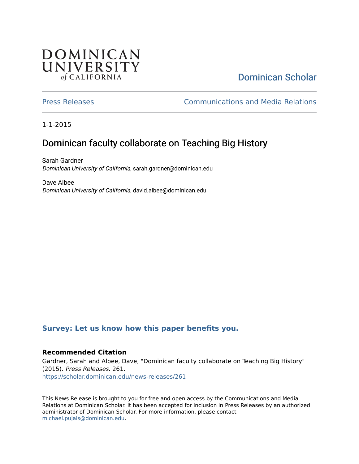## **DOMINICAN** UNIVERSITY of CALIFORNIA

# [Dominican Scholar](https://scholar.dominican.edu/)

[Press Releases](https://scholar.dominican.edu/news-releases) [Communications and Media Relations](https://scholar.dominican.edu/communications-media) 

1-1-2015

# Dominican faculty collaborate on Teaching Big History

Sarah Gardner Dominican University of California, sarah.gardner@dominican.edu

Dave Albee Dominican University of California, david.albee@dominican.edu

#### **[Survey: Let us know how this paper benefits you.](https://dominican.libwizard.com/dominican-scholar-feedback)**

#### **Recommended Citation**

Gardner, Sarah and Albee, Dave, "Dominican faculty collaborate on Teaching Big History" (2015). Press Releases. 261. [https://scholar.dominican.edu/news-releases/261](https://scholar.dominican.edu/news-releases/261?utm_source=scholar.dominican.edu%2Fnews-releases%2F261&utm_medium=PDF&utm_campaign=PDFCoverPages)

This News Release is brought to you for free and open access by the Communications and Media Relations at Dominican Scholar. It has been accepted for inclusion in Press Releases by an authorized administrator of Dominican Scholar. For more information, please contact [michael.pujals@dominican.edu.](mailto:michael.pujals@dominican.edu)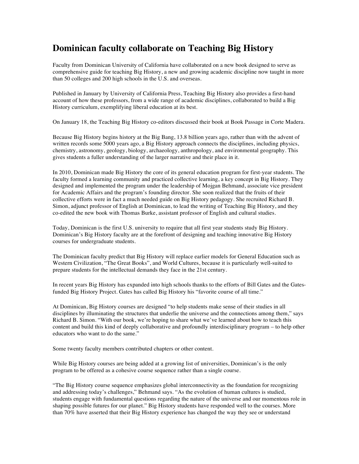### **Dominican faculty collaborate on Teaching Big History**

Faculty from Dominican University of California have collaborated on a new book designed to serve as comprehensive guide for teaching Big History, a new and growing academic discipline now taught in more than 50 colleges and 200 high schools in the U.S. and overseas.

Published in January by University of California Press, Teaching Big History also provides a first-hand account of how these professors, from a wide range of academic disciplines, collaborated to build a Big History curriculum, exemplifying liberal education at its best.

On January 18, the Teaching Big History co-editors discussed their book at Book Passage in Corte Madera.

Because Big History begins history at the Big Bang, 13.8 billion years ago, rather than with the advent of written records some 5000 years ago, a Big History approach connects the disciplines, including physics, chemistry, astronomy, geology, biology, archaeology, anthropology, and environmental geography. This gives students a fuller understanding of the larger narrative and their place in it.

In 2010, Dominican made Big History the core of its general education program for first-year students. The faculty formed a learning community and practiced collective learning, a key concept in Big History. They designed and implemented the program under the leadership of Mojgan Behmand, associate vice president for Academic Affairs and the program's founding director. She soon realized that the fruits of their collective efforts were in fact a much needed guide on Big History pedagogy. She recruited Richard B. Simon, adjunct professor of English at Dominican, to lead the writing of Teaching Big History, and they co-edited the new book with Thomas Burke, assistant professor of English and cultural studies.

Today, Dominican is the first U.S. university to require that all first year students study Big History. Dominican's Big History faculty are at the forefront of designing and teaching innovative Big History courses for undergraduate students.

The Dominican faculty predict that Big History will replace earlier models for General Education such as Western Civilization, "The Great Books", and World Cultures, because it is particularly well-suited to prepare students for the intellectual demands they face in the 21st century.

In recent years Big History has expanded into high schools thanks to the efforts of Bill Gates and the Gatesfunded Big History Project. Gates has called Big History his "favorite course of all time."

At Dominican, Big History courses are designed "to help students make sense of their studies in all disciplines by illuminating the structures that underlie the universe and the connections among them," says Richard B. Simon. "With our book, we're hoping to share what we've learned about how to teach this content and build this kind of deeply collaborative and profoundly interdisciplinary program – to help other educators who want to do the same."

Some twenty faculty members contributed chapters or other content.

While Big History courses are being added at a growing list of universities, Dominican's is the only program to be offered as a cohesive course sequence rather than a single course.

"The Big History course sequence emphasizes global interconnectivity as the foundation for recognizing and addressing today's challenges," Behmand says. "As the evolution of human cultures is studied, students engage with fundamental questions regarding the nature of the universe and our momentous role in shaping possible futures for our planet." Big History students have responded well to the courses. More than 70% have asserted that their Big History experience has changed the way they see or understand